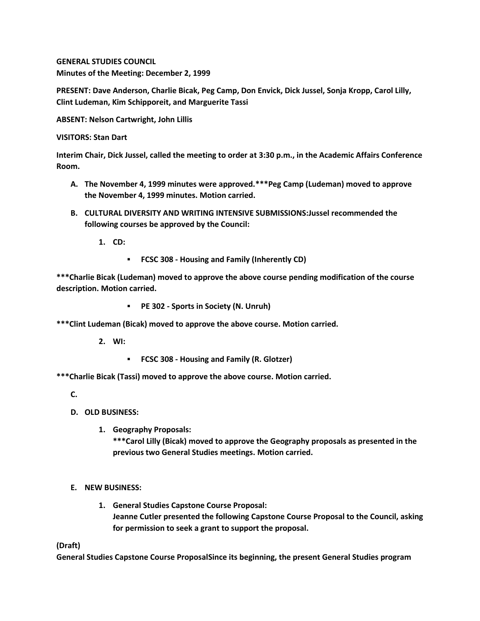**GENERAL STUDIES COUNCIL Minutes of the Meeting: December 2, 1999**

**PRESENT: Dave Anderson, Charlie Bicak, Peg Camp, Don Envick, Dick Jussel, Sonja Kropp, Carol Lilly, Clint Ludeman, Kim Schipporeit, and Marguerite Tassi**

**ABSENT: Nelson Cartwright, John Lillis**

**VISITORS: Stan Dart**

**Interim Chair, Dick Jussel, called the meeting to order at 3:30 p.m., in the Academic Affairs Conference Room.**

- **A. The November 4, 1999 minutes were approved.\*\*\*Peg Camp (Ludeman) moved to approve the November 4, 1999 minutes. Motion carried.**
- **B. CULTURAL DIVERSITY AND WRITING INTENSIVE SUBMISSIONS:Jussel recommended the following courses be approved by the Council:**

**1. CD:** 

**FCSC 308 - Housing and Family (Inherently CD)**

**\*\*\*Charlie Bicak (Ludeman) moved to approve the above course pending modification of the course description. Motion carried.** 

**PE 302 - Sports in Society (N. Unruh)**

**\*\*\*Clint Ludeman (Bicak) moved to approve the above course. Motion carried.**

**2. WI:**

**FCSC 308 - Housing and Family (R. Glotzer)**

**\*\*\*Charlie Bicak (Tassi) moved to approve the above course. Motion carried.**

**C.**

- **D. OLD BUSINESS:**
	- **1. Geography Proposals:**

**\*\*\*Carol Lilly (Bicak) moved to approve the Geography proposals as presented in the previous two General Studies meetings. Motion carried.**

- **E. NEW BUSINESS:**
	- **1. General Studies Capstone Course Proposal: Jeanne Cutler presented the following Capstone Course Proposal to the Council, asking for permission to seek a grant to support the proposal.**

**(Draft)**

**General Studies Capstone Course ProposalSince its beginning, the present General Studies program**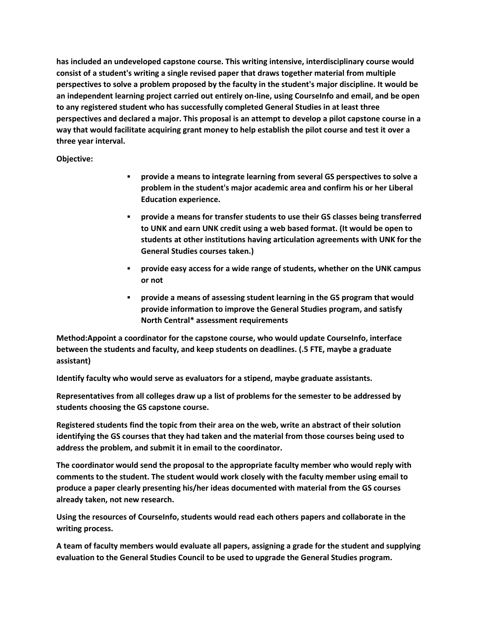**has included an undeveloped capstone course. This writing intensive, interdisciplinary course would consist of a student's writing a single revised paper that draws together material from multiple perspectives to solve a problem proposed by the faculty in the student's major discipline. It would be an independent learning project carried out entirely on-line, using CourseInfo and email, and be open to any registered student who has successfully completed General Studies in at least three perspectives and declared a major. This proposal is an attempt to develop a pilot capstone course in a way that would facilitate acquiring grant money to help establish the pilot course and test it over a three year interval.**

**Objective:**

- **provide a means to integrate learning from several GS perspectives to solve a problem in the student's major academic area and confirm his or her Liberal Education experience.**
- **provide a means for transfer students to use their GS classes being transferred to UNK and earn UNK credit using a web based format. (It would be open to students at other institutions having articulation agreements with UNK for the General Studies courses taken.)**
- **provide easy access for a wide range of students, whether on the UNK campus or not**
- **provide a means of assessing student learning in the GS program that would provide information to improve the General Studies program, and satisfy North Central\* assessment requirements**

**Method:Appoint a coordinator for the capstone course, who would update CourseInfo, interface between the students and faculty, and keep students on deadlines. (.5 FTE, maybe a graduate assistant)**

**Identify faculty who would serve as evaluators for a stipend, maybe graduate assistants.**

**Representatives from all colleges draw up a list of problems for the semester to be addressed by students choosing the GS capstone course.**

**Registered students find the topic from their area on the web, write an abstract of their solution identifying the GS courses that they had taken and the material from those courses being used to address the problem, and submit it in email to the coordinator.**

**The coordinator would send the proposal to the appropriate faculty member who would reply with comments to the student. The student would work closely with the faculty member using email to produce a paper clearly presenting his/her ideas documented with material from the GS courses already taken, not new research.**

**Using the resources of CourseInfo, students would read each others papers and collaborate in the writing process.**

**A team of faculty members would evaluate all papers, assigning a grade for the student and supplying evaluation to the General Studies Council to be used to upgrade the General Studies program.**